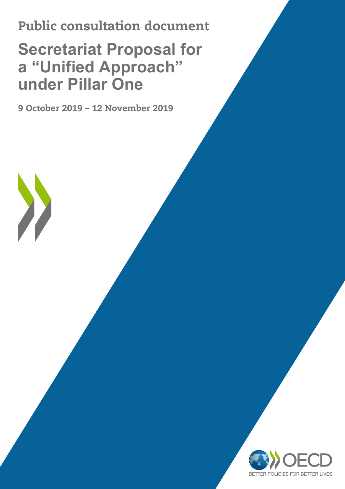# Public consultation document

# **Secretariat Proposal for a "Unified Approach" under Pillar One**

9 October 2019 – 12 November 2019

X

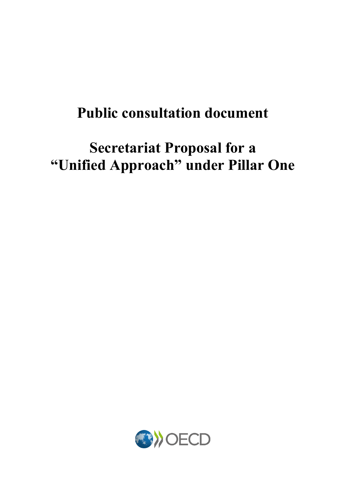# **Public consultation document**

# **Secretariat Proposal for a "Unified Approach" under Pillar One**

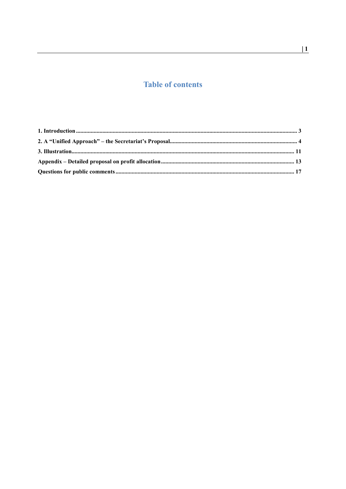# **Table of contents**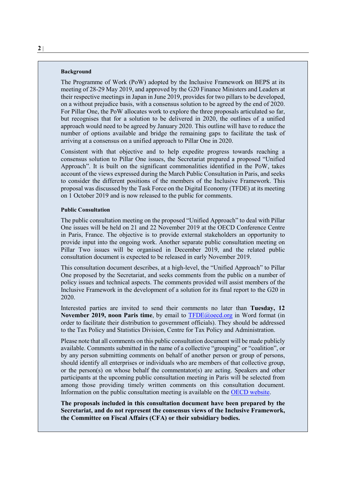#### **Background**

The Programme of Work (PoW) adopted by the Inclusive Framework on BEPS at its meeting of 28-29 May 2019, and approved by the G20 Finance Ministers and Leaders at their respective meetings in Japan in June 2019, provides for two pillars to be developed, on a without prejudice basis, with a consensus solution to be agreed by the end of 2020. For Pillar One, the PoW allocates work to explore the three proposals articulated so far, but recognises that for a solution to be delivered in 2020, the outlines of a unified approach would need to be agreed by January 2020. This outline will have to reduce the number of options available and bridge the remaining gaps to facilitate the task of arriving at a consensus on a unified approach to Pillar One in 2020.

Consistent with that objective and to help expedite progress towards reaching a consensus solution to Pillar One issues, the Secretariat prepared a proposed "Unified Approach". It is built on the significant commonalities identified in the PoW, takes account of the views expressed during the March Public Consultation in Paris, and seeks to consider the different positions of the members of the Inclusive Framework. This proposal was discussed by the Task Force on the Digital Economy (TFDE) at its meeting on 1 October 2019 and is now released to the public for comments.

#### **Public Consultation**

The public consultation meeting on the proposed "Unified Approach" to deal with Pillar One issues will be held on 21 and 22 November 2019 at the OECD Conference Centre in Paris, France. The objective is to provide external stakeholders an opportunity to provide input into the ongoing work. Another separate public consultation meeting on Pillar Two issues will be organised in December 2019, and the related public consultation document is expected to be released in early November 2019.

This consultation document describes, at a high-level, the "Unified Approach" to Pillar One proposed by the Secretariat, and seeks comments from the public on a number of policy issues and technical aspects. The comments provided will assist members of the Inclusive Framework in the development of a solution for its final report to the G20 in 2020.

Interested parties are invited to send their comments no later than **Tuesday, 12 November 2019, noon Paris time**, by email to **TFDE**@oecd.org in Word format (in order to facilitate their distribution to government officials). They should be addressed to the Tax Policy and Statistics Division, Centre for Tax Policy and Administration.

Please note that all comments on this public consultation document will be made publicly available. Comments submitted in the name of a collective "grouping" or "coalition", or by any person submitting comments on behalf of another person or group of persons, should identify all enterprises or individuals who are members of that collective group, or the person(s) on whose behalf the commentator(s) are acting. Speakers and other participants at the upcoming public consultation meeting in Paris will be selected from among those providing timely written comments on this consultation document. Information on the public consultation meeting is available on the [OECD website.](https://www.oecd.org/tax/beps/public-consultation-meeting-secretariat-proposal-unified-approach-pillar-one-21-22-november-2019.htm)

**The proposals included in this consultation document have been prepared by the Secretariat, and do not represent the consensus views of the Inclusive Framework, the Committee on Fiscal Affairs (CFA) or their subsidiary bodies.**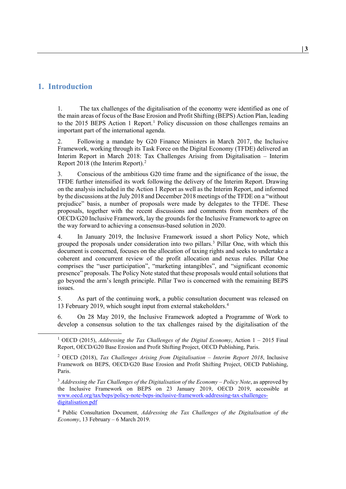# <span id="page-5-0"></span>**1. Introduction**

1. The tax challenges of the digitalisation of the economy were identified as one of the main areas of focus of the Base Erosion and Profit Shifting (BEPS) Action Plan, leading to the 20[1](#page-5-1)5 BEPS Action 1 Report.<sup>1</sup> Policy discussion on those challenges remains an important part of the international agenda.

2. Following a mandate by G20 Finance Ministers in March 2017, the Inclusive Framework, working through its Task Force on the Digital Economy (TFDE) delivered an Interim Report in March 2018: Tax Challenges Arising from Digitalisation – Interim Report 2018 (the Interim Report)[.2](#page-5-2)

3. Conscious of the ambitious G20 time frame and the significance of the issue, the TFDE further intensified its work following the delivery of the Interim Report. Drawing on the analysis included in the Action 1 Report as well as the Interim Report, and informed by the discussions at the July 2018 and December 2018 meetings of the TFDE on a "without prejudice" basis, a number of proposals were made by delegates to the TFDE. These proposals, together with the recent discussions and comments from members of the OECD/G20 Inclusive Framework, lay the grounds for the Inclusive Framework to agree on the way forward to achieving a consensus-based solution in 2020.

4. In January 2019, the Inclusive Framework issued a short Policy Note, which grouped the proposals under consideration into two pillars.<sup>[3](#page-5-3)</sup> Pillar One, with which this document is concerned, focuses on the allocation of taxing rights and seeks to undertake a coherent and concurrent review of the profit allocation and nexus rules. Pillar One comprises the "user participation", "marketing intangibles", and "significant economic presence" proposals. The Policy Note stated that these proposals would entail solutions that go beyond the arm's length principle. Pillar Two is concerned with the remaining BEPS issues.

5. As part of the continuing work, a public consultation document was released on 13 February 2019, which sought input from external stakeholders.[4](#page-5-4)

6. On 28 May 2019, the Inclusive Framework adopted a Programme of Work to develop a consensus solution to the tax challenges raised by the digitalisation of the

<span id="page-5-1"></span> <sup>1</sup> OECD (2015), *Addressing the Tax Challenges of the Digital Economy*, Action 1 – 2015 Final Report, OECD/G20 Base Erosion and Profit Shifting Project, OECD Publishing, Paris.

<span id="page-5-2"></span><sup>2</sup> OECD (2018), *Tax Challenges Arising from Digitalisation – Interim Report 2018*, Inclusive Framework on BEPS, OECD/G20 Base Erosion and Profit Shifting Project, OECD Publishing, Paris.

<span id="page-5-3"></span><sup>3</sup> *Addressing the Tax Challenges of the Digitalisation of the Economy – Policy Note*, as approved by the Inclusive Framework on BEPS on 23 January 2019, OECD 2019, accessible at [www.oecd.org/tax/beps/policy-note-beps-inclusive-framework-addressing-tax-challenges](http://www.oecd.org/tax/beps/policy-note-beps-inclusive-framework-addressing-tax-challenges-digitalisation.pdf)[digitalisation.pdf](http://www.oecd.org/tax/beps/policy-note-beps-inclusive-framework-addressing-tax-challenges-digitalisation.pdf)

<span id="page-5-4"></span><sup>4</sup> Public Consultation Document, *Addressing the Tax Challenges of the Digitalisation of the Economy*, 13 February – 6 March 2019.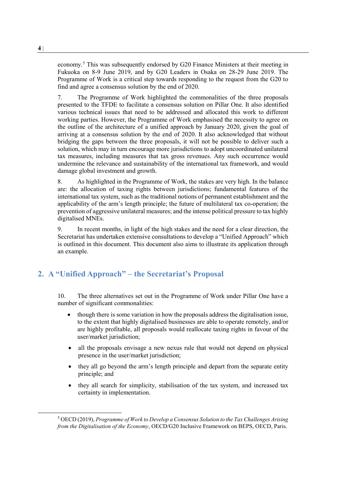economy. [5](#page-6-1) This was subsequently endorsed by G20 Finance Ministers at their meeting in Fukuoka on 8-9 June 2019, and by G20 Leaders in Osaka on 28-29 June 2019. The Programme of Work is a critical step towards responding to the request from the G20 to find and agree a consensus solution by the end of 2020.

7. The Programme of Work highlighted the commonalities of the three proposals presented to the TFDE to facilitate a consensus solution on Pillar One. It also identified various technical issues that need to be addressed and allocated this work to different working parties. However, the Programme of Work emphasised the necessity to agree on the outline of the architecture of a unified approach by January 2020, given the goal of arriving at a consensus solution by the end of 2020. It also acknowledged that without bridging the gaps between the three proposals, it will not be possible to deliver such a solution, which may in turn encourage more jurisdictions to adopt uncoordinated unilateral tax measures, including measures that tax gross revenues. Any such occurrence would undermine the relevance and sustainability of the international tax framework, and would damage global investment and growth.

8. As highlighted in the Programme of Work, the stakes are very high. In the balance are: the allocation of taxing rights between jurisdictions; fundamental features of the international tax system, such as the traditional notions of permanent establishment and the applicability of the arm's length principle; the future of multilateral tax co-operation; the prevention of aggressive unilateral measures; and the intense political pressure to tax highly digitalised MNEs.

9. In recent months, in light of the high stakes and the need for a clear direction, the Secretariat has undertaken extensive consultations to develop a "Unified Approach" which is outlined in this document. This document also aims to illustrate its application through an example.

# <span id="page-6-0"></span>**2. A "Unified Approach" – the Secretariat's Proposal**

10. The three alternatives set out in the Programme of Work under Pillar One have a number of significant commonalities:

- though there is some variation in how the proposals address the digitalisation issue, to the extent that highly digitalised businesses are able to operate remotely, and/or are highly profitable, all proposals would reallocate taxing rights in favour of the user/market jurisdiction;
- all the proposals envisage a new nexus rule that would not depend on physical presence in the user/market jurisdiction;
- they all go beyond the arm's length principle and depart from the separate entity principle; and
- they all search for simplicity, stabilisation of the tax system, and increased tax certainty in implementation.

<span id="page-6-1"></span> <sup>5</sup> OECD (2019), *Programme of Work to Develop a Consensus Solution to the Tax Challenges Arising from the Digitalisation of the Economy*, OECD/G20 Inclusive Framework on BEPS, OECD, Paris.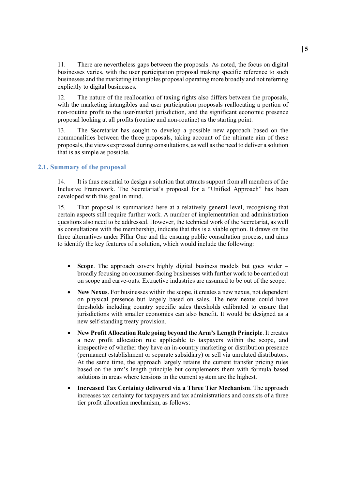11. There are nevertheless gaps between the proposals. As noted, the focus on digital businesses varies, with the user participation proposal making specific reference to such businesses and the marketing intangibles proposal operating more broadly and not referring explicitly to digital businesses.

12. The nature of the reallocation of taxing rights also differs between the proposals, with the marketing intangibles and user participation proposals reallocating a portion of non-routine profit to the user/market jurisdiction, and the significant economic presence proposal looking at all profits (routine and non-routine) as the starting point.

13. The Secretariat has sought to develop a possible new approach based on the commonalities between the three proposals, taking account of the ultimate aim of these proposals, the views expressed during consultations, as well as the need to deliver a solution that is as simple as possible.

#### **2.1. Summary of the proposal**

14. It is thus essential to design a solution that attracts support from all members of the Inclusive Framework. The Secretariat's proposal for a "Unified Approach" has been developed with this goal in mind.

15. That proposal is summarised here at a relatively general level, recognising that certain aspects still require further work. A number of implementation and administration questions also need to be addressed. However, the technical work of the Secretariat, as well as consultations with the membership, indicate that this is a viable option. It draws on the three alternatives under Pillar One and the ensuing public consultation process, and aims to identify the key features of a solution, which would include the following:

- **Scope**. The approach covers highly digital business models but goes wider broadly focusing on consumer-facing businesses with further work to be carried out on scope and carve-outs. Extractive industries are assumed to be out of the scope.
- **New Nexus**. For businesses within the scope, it creates a new nexus, not dependent on physical presence but largely based on sales. The new nexus could have thresholds including country specific sales thresholds calibrated to ensure that jurisdictions with smaller economies can also benefit. It would be designed as a new self-standing treaty provision.
- **New Profit Allocation Rule going beyond the Arm's Length Principle**. It creates a new profit allocation rule applicable to taxpayers within the scope, and irrespective of whether they have an in-country marketing or distribution presence (permanent establishment or separate subsidiary) or sell via unrelated distributors. At the same time, the approach largely retains the current transfer pricing rules based on the arm's length principle but complements them with formula based solutions in areas where tensions in the current system are the highest.
- **Increased Tax Certainty delivered via a Three Tier Mechanism**. The approach increases tax certainty for taxpayers and tax administrations and consists of a three tier profit allocation mechanism, as follows: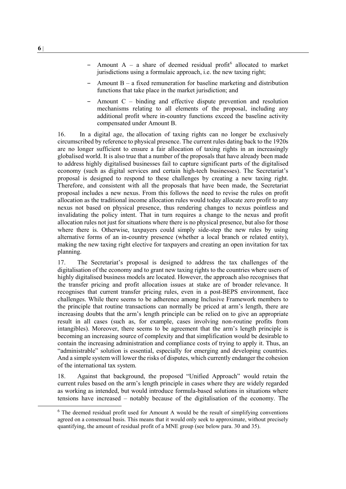- Amount A a share of deemed residual profit<sup>[6](#page-8-0)</sup> allocated to market jurisdictions using a formulaic approach, i.e. the new taxing right;
- Amount  $B a$  fixed remuneration for baseline marketing and distribution functions that take place in the market jurisdiction; and
- Amount  $C \text{binding}$  and effective dispute prevention and resolution mechanisms relating to all elements of the proposal, including any additional profit where in-country functions exceed the baseline activity compensated under Amount B.

16. In a digital age, the allocation of taxing rights can no longer be exclusively circumscribed by reference to physical presence. The current rules dating back to the 1920s are no longer sufficient to ensure a fair allocation of taxing rights in an increasingly globalised world. It is also true that a number of the proposals that have already been made to address highly digitalised businesses fail to capture significant parts of the digitalised economy (such as digital services and certain high-tech businesses). The Secretariat's proposal is designed to respond to these challenges by creating a new taxing right. Therefore, and consistent with all the proposals that have been made, the Secretariat proposal includes a new nexus. From this follows the need to revise the rules on profit allocation as the traditional income allocation rules would today allocate zero profit to any nexus not based on physical presence, thus rendering changes to nexus pointless and invalidating the policy intent. That in turn requires a change to the nexus and profit allocation rules not just for situations where there is no physical presence, but also for those where there is. Otherwise, taxpayers could simply side-step the new rules by using alternative forms of an in-country presence (whether a local branch or related entity), making the new taxing right elective for taxpayers and creating an open invitation for tax planning.

17. The Secretariat's proposal is designed to address the tax challenges of the digitalisation of the economy and to grant new taxing rights to the countries where users of highly digitalised business models are located. However, the approach also recognises that the transfer pricing and profit allocation issues at stake are of broader relevance. It recognises that current transfer pricing rules, even in a post-BEPS environment, face challenges. While there seems to be adherence among Inclusive Framework members to the principle that routine transactions can normally be priced at arm's length, there are increasing doubts that the arm's length principle can be relied on to give an appropriate result in all cases (such as, for example, cases involving non-routine profits from intangibles). Moreover, there seems to be agreement that the arm's length principle is becoming an increasing source of complexity and that simplification would be desirable to contain the increasing administration and compliance costs of trying to apply it. Thus, an "administrable" solution is essential, especially for emerging and developing countries. And a simple system will lower the risks of disputes, which currently endanger the cohesion of the international tax system.

18. Against that background, the proposed "Unified Approach" would retain the current rules based on the arm's length principle in cases where they are widely regarded as working as intended, but would introduce formula-based solutions in situations where tensions have increased – notably because of the digitalisation of the economy. The

<span id="page-8-0"></span> $6$  The deemed residual profit used for Amount A would be the result of simplifying conventions agreed on a consensual basis. This means that it would only seek to approximate, without precisely quantifying, the amount of residual profit of a MNE group (see below para. [30](#page-11-0) an[d 35\)](#page-12-0).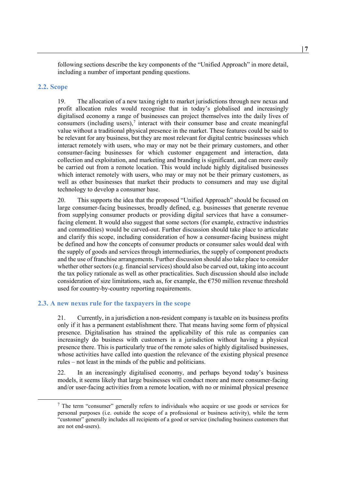following sections describe the key components of the "Unified Approach" in more detail, including a number of important pending questions.

#### **2.2. Scope**

19. The allocation of a new taxing right to market jurisdictions through new nexus and profit allocation rules would recognise that in today's globalised and increasingly digitalised economy a range of businesses can project themselves into the daily lives of consumers (including users), $\frac{7}{1}$  $\frac{7}{1}$  $\frac{7}{1}$  interact with their consumer base and create meaningful value without a traditional physical presence in the market. These features could be said to be relevant for any business, but they are most relevant for digital centric businesses which interact remotely with users, who may or may not be their primary customers, and other consumer-facing businesses for which customer engagement and interaction, data collection and exploitation, and marketing and branding is significant, and can more easily be carried out from a remote location. This would include highly digitalised businesses which interact remotely with users, who may or may not be their primary customers, as well as other businesses that market their products to consumers and may use digital technology to develop a consumer base.

20. This supports the idea that the proposed "Unified Approach" should be focused on large consumer-facing businesses, broadly defined, e.g. businesses that generate revenue from supplying consumer products or providing digital services that have a consumerfacing element. It would also suggest that some sectors (for example, extractive industries and commodities) would be carved-out. Further discussion should take place to articulate and clarify this scope, including consideration of how a consumer-facing business might be defined and how the concepts of consumer products or consumer sales would deal with the supply of goods and services through intermediaries, the supply of component products and the use of franchise arrangements. Further discussion should also take place to consider whether other sectors (e.g. financial services) should also be carved out, taking into account the tax policy rationale as well as other practicalities. Such discussion should also include consideration of size limitations, such as, for example, the  $\epsilon$ 750 million revenue threshold used for country-by-country reporting requirements.

#### **2.3. A new nexus rule for the taxpayers in the scope**

21. Currently, in a jurisdiction a non-resident company is taxable on its business profits only if it has a permanent establishment there. That means having some form of physical presence. Digitalisation has strained the applicability of this rule as companies can increasingly do business with customers in a jurisdiction without having a physical presence there. This is particularly true of the remote sales of highly digitalised businesses, whose activities have called into question the relevance of the existing physical presence rules – not least in the minds of the public and politicians.

22. In an increasingly digitalised economy, and perhaps beyond today's business models, it seems likely that large businesses will conduct more and more consumer-facing and/or user-facing activities from a remote location, with no or minimal physical presence

<span id="page-9-0"></span> $<sup>7</sup>$  The term "consumer" generally refers to individuals who acquire or use goods or services for</sup> personal purposes (i.e. outside the scope of a professional or business activity), while the term "customer" generally includes all recipients of a good or service (including business customers that are not end-users).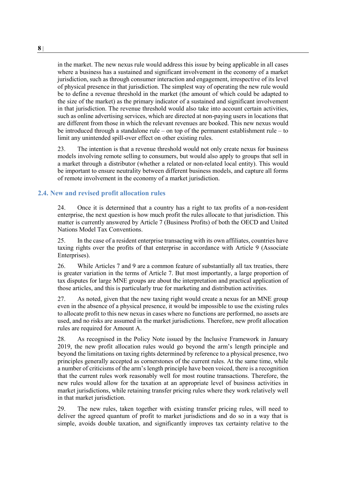in the market. The new nexus rule would address this issue by being applicable in all cases where a business has a sustained and significant involvement in the economy of a market jurisdiction, such as through consumer interaction and engagement, irrespective of its level of physical presence in that jurisdiction. The simplest way of operating the new rule would be to define a revenue threshold in the market (the amount of which could be adapted to the size of the market) as the primary indicator of a sustained and significant involvement in that jurisdiction. The revenue threshold would also take into account certain activities, such as online advertising services, which are directed at non-paying users in locations that are different from those in which the relevant revenues are booked. This new nexus would be introduced through a standalone rule – on top of the permanent establishment rule – to limit any unintended spill-over effect on other existing rules.

23. The intention is that a revenue threshold would not only create nexus for business models involving remote selling to consumers, but would also apply to groups that sell in a market through a distributor (whether a related or non-related local entity). This would be important to ensure neutrality between different business models, and capture all forms of remote involvement in the economy of a market jurisdiction.

### **2.4. New and revised profit allocation rules**

24. Once it is determined that a country has a right to tax profits of a non-resident enterprise, the next question is how much profit the rules allocate to that jurisdiction. This matter is currently answered by Article 7 (Business Profits) of both the OECD and United Nations Model Tax Conventions.

25. In the case of a resident enterprise transacting with its own affiliates, countries have taxing rights over the profits of that enterprise in accordance with Article 9 (Associate Enterprises).

26. While Articles 7 and 9 are a common feature of substantially all tax treaties, there is greater variation in the terms of Article 7. But most importantly, a large proportion of tax disputes for large MNE groups are about the interpretation and practical application of those articles, and this is particularly true for marketing and distribution activities.

27. As noted, given that the new taxing right would create a nexus for an MNE group even in the absence of a physical presence, it would be impossible to use the existing rules to allocate profit to this new nexus in cases where no functions are performed, no assets are used, and no risks are assumed in the market jurisdictions. Therefore, new profit allocation rules are required for Amount A.

28. As recognised in the Policy Note issued by the Inclusive Framework in January 2019, the new profit allocation rules would go beyond the arm's length principle and beyond the limitations on taxing rights determined by reference to a physical presence, two principles generally accepted as cornerstones of the current rules. At the same time, while a number of criticisms of the arm's length principle have been voiced, there is a recognition that the current rules work reasonably well for most routine transactions. Therefore, the new rules would allow for the taxation at an appropriate level of business activities in market jurisdictions, while retaining transfer pricing rules where they work relatively well in that market jurisdiction.

29. The new rules, taken together with existing transfer pricing rules, will need to deliver the agreed quantum of profit to market jurisdictions and do so in a way that is simple, avoids double taxation, and significantly improves tax certainty relative to the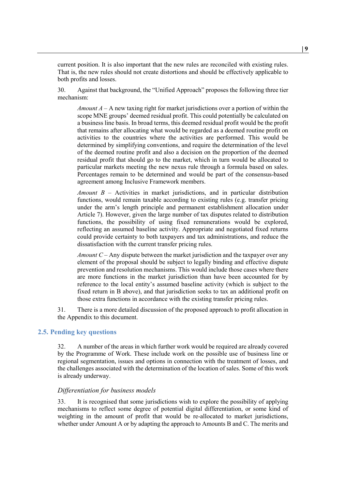current position. It is also important that the new rules are reconciled with existing rules. That is, the new rules should not create distortions and should be effectively applicable to both profits and losses.

<span id="page-11-0"></span>30. Against that background, the "Unified Approach" proposes the following three tier mechanism:

*Amount A* – A new taxing right for market jurisdictions over a portion of within the scope MNE groups' deemed residual profit. This could potentially be calculated on a business line basis. In broad terms, this deemed residual profit would be the profit that remains after allocating what would be regarded as a deemed routine profit on activities to the countries where the activities are performed. This would be determined by simplifying conventions, and require the determination of the level of the deemed routine profit and also a decision on the proportion of the deemed residual profit that should go to the market, which in turn would be allocated to particular markets meeting the new nexus rule through a formula based on sales. Percentages remain to be determined and would be part of the consensus-based agreement among Inclusive Framework members.

*Amount B* – Activities in market jurisdictions, and in particular distribution functions, would remain taxable according to existing rules (e.g. transfer pricing under the arm's length principle and permanent establishment allocation under Article 7). However, given the large number of tax disputes related to distribution functions, the possibility of using fixed remunerations would be explored, reflecting an assumed baseline activity. Appropriate and negotiated fixed returns could provide certainty to both taxpayers and tax administrations, and reduce the dissatisfaction with the current transfer pricing rules.

*Amount C* – Any dispute between the market jurisdiction and the taxpayer over any element of the proposal should be subject to legally binding and effective dispute prevention and resolution mechanisms. This would include those cases where there are more functions in the market jurisdiction than have been accounted for by reference to the local entity's assumed baseline activity (which is subject to the fixed return in B above), and that jurisdiction seeks to tax an additional profit on those extra functions in accordance with the existing transfer pricing rules.

31. There is a more detailed discussion of the proposed approach to profit allocation in the Appendix to this document.

#### **2.5. Pending key questions**

32. A number of the areas in which further work would be required are already covered by the Programme of Work. These include work on the possible use of business line or regional segmentation, issues and options in connection with the treatment of losses, and the challenges associated with the determination of the location of sales. Some of this work is already underway.

#### *Differentiation for business models*

33. It is recognised that some jurisdictions wish to explore the possibility of applying mechanisms to reflect some degree of potential digital differentiation, or some kind of weighting in the amount of profit that would be re-allocated to market jurisdictions, whether under Amount A or by adapting the approach to Amounts B and C. The merits and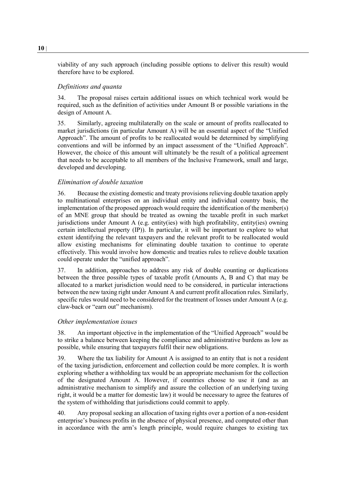viability of any such approach (including possible options to deliver this result) would therefore have to be explored.

#### *Definitions and quanta*

34. The proposal raises certain additional issues on which technical work would be required, such as the definition of activities under Amount B or possible variations in the design of Amount A.

<span id="page-12-0"></span>35. Similarly, agreeing multilaterally on the scale or amount of profits reallocated to market jurisdictions (in particular Amount A) will be an essential aspect of the "Unified Approach". The amount of profits to be reallocated would be determined by simplifying conventions and will be informed by an impact assessment of the "Unified Approach". However, the choice of this amount will ultimately be the result of a political agreement that needs to be acceptable to all members of the Inclusive Framework, small and large, developed and developing.

#### *Elimination of double taxation*

36. Because the existing domestic and treaty provisions relieving double taxation apply to multinational enterprises on an individual entity and individual country basis, the implementation of the proposed approach would require the identification of the member(s) of an MNE group that should be treated as owning the taxable profit in such market jurisdictions under Amount A (e.g. entity(ies) with high profitability, entity(ies) owning certain intellectual property (IP)). In particular, it will be important to explore to what extent identifying the relevant taxpayers and the relevant profit to be reallocated would allow existing mechanisms for eliminating double taxation to continue to operate effectively. This would involve how domestic and treaties rules to relieve double taxation could operate under the "unified approach".

37. In addition, approaches to address any risk of double counting or duplications between the three possible types of taxable profit (Amounts A, B and C) that may be allocated to a market jurisdiction would need to be considered, in particular interactions between the new taxing right under Amount A and current profit allocation rules. Similarly, specific rules would need to be considered for the treatment of losses under Amount A (e.g. claw-back or "earn out" mechanism).

#### *Other implementation issues*

38. An important objective in the implementation of the "Unified Approach" would be to strike a balance between keeping the compliance and administrative burdens as low as possible, while ensuring that taxpayers fulfil their new obligations.

39. Where the tax liability for Amount A is assigned to an entity that is not a resident of the taxing jurisdiction, enforcement and collection could be more complex. It is worth exploring whether a withholding tax would be an appropriate mechanism for the collection of the designated Amount A. However, if countries choose to use it (and as an administrative mechanism to simplify and assure the collection of an underlying taxing right, it would be a matter for domestic law) it would be necessary to agree the features of the system of withholding that jurisdictions could commit to apply.

40. Any proposal seeking an allocation of taxing rights over a portion of a non-resident enterprise's business profits in the absence of physical presence, and computed other than in accordance with the arm's length principle, would require changes to existing tax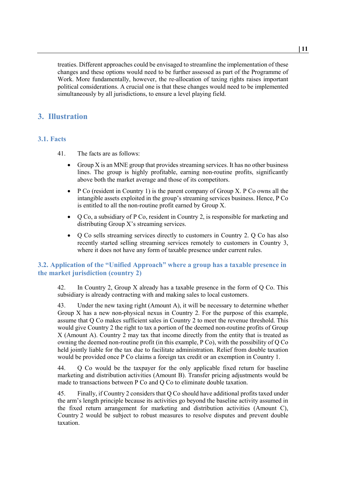treaties. Different approaches could be envisaged to streamline the implementation of these changes and these options would need to be further assessed as part of the Programme of Work. More fundamentally, however, the re-allocation of taxing rights raises important political considerations. A crucial one is that these changes would need to be implemented simultaneously by all jurisdictions, to ensure a level playing field.

# <span id="page-13-0"></span>**3. Illustration**

### **3.1. Facts**

- 41. The facts are as follows:
	- Group  $X$  is an MNE group that provides streaming services. It has no other business lines. The group is highly profitable, earning non-routine profits, significantly above both the market average and those of its competitors.
	- P Co (resident in Country 1) is the parent company of Group X. P Co owns all the intangible assets exploited in the group's streaming services business. Hence, P Co is entitled to all the non-routine profit earned by Group X.
	- Q Co, a subsidiary of P Co, resident in Country 2, is responsible for marketing and distributing Group X's streaming services.
	- Q Co sells streaming services directly to customers in Country 2. Q Co has also recently started selling streaming services remotely to customers in Country 3, where it does not have any form of taxable presence under current rules.

## **3.2. Application of the "Unified Approach" where a group has a taxable presence in the market jurisdiction (country 2)**

42. In Country 2, Group X already has a taxable presence in the form of Q Co. This subsidiary is already contracting with and making sales to local customers.

43. Under the new taxing right (Amount A), it will be necessary to determine whether Group X has a new non-physical nexus in Country 2. For the purpose of this example, assume that Q Co makes sufficient sales in Country 2 to meet the revenue threshold. This would give Country 2 the right to tax a portion of the deemed non-routine profits of Group X (Amount A). Country 2 may tax that income directly from the entity that is treated as owning the deemed non-routine profit (in this example, P Co), with the possibility of Q Co held jointly liable for the tax due to facilitate administration. Relief from double taxation would be provided once P Co claims a foreign tax credit or an exemption in Country 1.

44. Q Co would be the taxpayer for the only applicable fixed return for baseline marketing and distribution activities (Amount B). Transfer pricing adjustments would be made to transactions between P Co and Q Co to eliminate double taxation.

45. Finally, if Country 2 considers that Q Co should have additional profits taxed under the arm's length principle because its activities go beyond the baseline activity assumed in the fixed return arrangement for marketing and distribution activities (Amount C), Country 2 would be subject to robust measures to resolve disputes and prevent double taxation.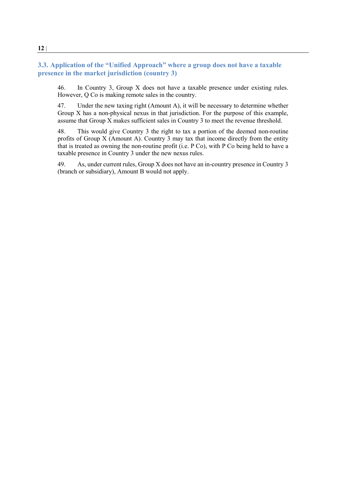## **3.3. Application of the "Unified Approach" where a group does not have a taxable presence in the market jurisdiction (country 3)**

46. In Country 3, Group X does not have a taxable presence under existing rules. However, Q Co is making remote sales in the country.

47. Under the new taxing right (Amount A), it will be necessary to determine whether Group X has a non-physical nexus in that jurisdiction. For the purpose of this example, assume that Group X makes sufficient sales in Country 3 to meet the revenue threshold.

48. This would give Country 3 the right to tax a portion of the deemed non-routine profits of Group X (Amount A). Country 3 may tax that income directly from the entity that is treated as owning the non-routine profit (i.e. P Co), with P Co being held to have a taxable presence in Country 3 under the new nexus rules.

49. As, under current rules, Group X does not have an in-country presence in Country 3 (branch or subsidiary), Amount B would not apply.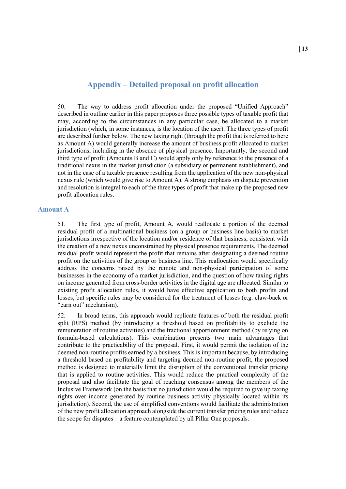# **Appendix – Detailed proposal on profit allocation**

<span id="page-15-0"></span>50. The way to address profit allocation under the proposed "Unified Approach" described in outline earlier in this paper proposes three possible types of taxable profit that may, according to the circumstances in any particular case, be allocated to a market jurisdiction (which, in some instances, is the location of the user). The three types of profit are described further below. The new taxing right (through the profit that is referred to here as Amount A) would generally increase the amount of business profit allocated to market jurisdictions, including in the absence of physical presence. Importantly, the second and third type of profit (Amounts B and C) would apply only by reference to the presence of a traditional nexus in the market jurisdiction (a subsidiary or permanent establishment), and not in the case of a taxable presence resulting from the application of the new non-physical nexus rule (which would give rise to Amount A). A strong emphasis on dispute prevention and resolution is integral to each of the three types of profit that make up the proposed new profit allocation rules.

#### **Amount A**

51. The first type of profit, Amount A, would reallocate a portion of the deemed residual profit of a multinational business (on a group or business line basis) to market jurisdictions irrespective of the location and/or residence of that business, consistent with the creation of a new nexus unconstrained by physical presence requirements. The deemed residual profit would represent the profit that remains after designating a deemed routine profit on the activities of the group or business line. This reallocation would specifically address the concerns raised by the remote and non-physical participation of some businesses in the economy of a market jurisdiction, and the question of how taxing rights on income generated from cross-border activities in the digital age are allocated. Similar to existing profit allocation rules, it would have effective application to both profits and losses, but specific rules may be considered for the treatment of losses (e.g. claw-back or "earn out" mechanism).

52. In broad terms, this approach would replicate features of both the residual profit split (RPS) method (by introducing a threshold based on profitability to exclude the remuneration of routine activities) and the fractional apportionment method (by relying on formula-based calculations). This combination presents two main advantages that contribute to the practicability of the proposal. First, it would permit the isolation of the deemed non-routine profits earned by a business. This is important because, by introducing a threshold based on profitability and targeting deemed non-routine profit, the proposed method is designed to materially limit the disruption of the conventional transfer pricing that is applied to routine activities. This would reduce the practical complexity of the proposal and also facilitate the goal of reaching consensus among the members of the Inclusive Framework (on the basis that no jurisdiction would be required to give up taxing rights over income generated by routine business activity physically located within its jurisdiction). Second, the use of simplified conventions would facilitate the administration of the new profit allocation approach alongside the current transfer pricing rules and reduce the scope for disputes – a feature contemplated by all Pillar One proposals.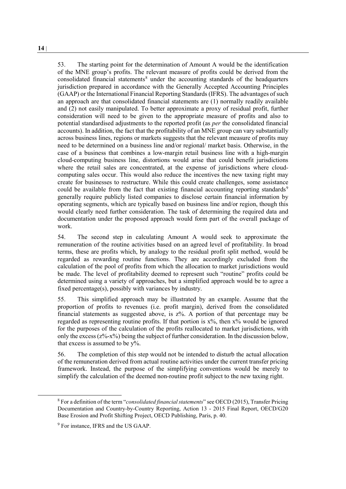53. The starting point for the determination of Amount A would be the identification of the MNE group's profits. The relevant measure of profits could be derived from the consolidated financial statements $8$  under the accounting standards of the headquarters jurisdiction prepared in accordance with the Generally Accepted Accounting Principles (GAAP) or the International Financial Reporting Standards (IFRS). The advantages of such an approach are that consolidated financial statements are (1) normally readily available and (2) not easily manipulated. To better approximate a proxy of residual profit, further consideration will need to be given to the appropriate measure of profits and also to potential standardised adjustments to the reported profit (as *per* the consolidated financial accounts). In addition, the fact that the profitability of an MNE group can vary substantially across business lines, regions or markets suggests that the relevant measure of profits may need to be determined on a business line and/or regional/ market basis. Otherwise, in the case of a business that combines a low-margin retail business line with a high-margin cloud-computing business line, distortions would arise that could benefit jurisdictions where the retail sales are concentrated, at the expense of jurisdictions where cloudcomputing sales occur. This would also reduce the incentives the new taxing right may create for businesses to restructure. While this could create challenges, some assistance could be available from the fact that existing financial accounting reporting standards<sup>[9](#page-16-1)</sup> generally require publicly listed companies to disclose certain financial information by operating segments, which are typically based on business line and/or region, though this would clearly need further consideration. The task of determining the required data and documentation under the proposed approach would form part of the overall package of work.

54. The second step in calculating Amount A would seek to approximate the remuneration of the routine activities based on an agreed level of profitability. In broad terms, these are profits which, by analogy to the residual profit split method, would be regarded as rewarding routine functions. They are accordingly excluded from the calculation of the pool of profits from which the allocation to market jurisdictions would be made. The level of profitability deemed to represent such "routine" profits could be determined using a variety of approaches, but a simplified approach would be to agree a fixed percentage(s), possibly with variances by industry.

55. This simplified approach may be illustrated by an example. Assume that the proportion of profits to revenues (i.e. profit margin), derived from the consolidated financial statements as suggested above, is z%. A portion of that percentage may be regarded as representing routine profits. If that portion is  $x\%$ , then  $x\%$  would be ignored for the purposes of the calculation of the profits reallocated to market jurisdictions, with only the excess  $(z\% - x\%)$  being the subject of further consideration. In the discussion below, that excess is assumed to be y%.

56. The completion of this step would not be intended to disturb the actual allocation of the remuneration derived from actual routine activities under the current transfer pricing framework. Instead, the purpose of the simplifying conventions would be merely to simplify the calculation of the deemed non-routine profit subject to the new taxing right.

<span id="page-16-0"></span> <sup>8</sup> For a definition of the term "*consolidated financial statements*" see OECD (2015), Transfer Pricing Documentation and Country-by-Country Reporting, Action 13 - 2015 Final Report, OECD/G20 Base Erosion and Profit Shifting Project, OECD Publishing, Paris, p. 40.

<span id="page-16-1"></span><sup>&</sup>lt;sup>9</sup> For instance, IFRS and the US GAAP.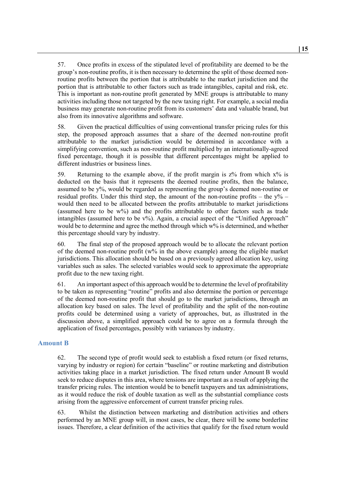57. Once profits in excess of the stipulated level of profitability are deemed to be the group's non-routine profits, it is then necessary to determine the split of those deemed nonroutine profits between the portion that is attributable to the market jurisdiction and the portion that is attributable to other factors such as trade intangibles, capital and risk, etc. This is important as non-routine profit generated by MNE groups is attributable to many activities including those not targeted by the new taxing right. For example, a social media business may generate non-routine profit from its customers' data and valuable brand, but also from its innovative algorithms and software.

58. Given the practical difficulties of using conventional transfer pricing rules for this step, the proposed approach assumes that a share of the deemed non-routine profit attributable to the market jurisdiction would be determined in accordance with a simplifying convention, such as non-routine profit multiplied by an internationally-agreed fixed percentage, though it is possible that different percentages might be applied to different industries or business lines.

59. Returning to the example above, if the profit margin is  $z\%$  from which  $x\%$  is deducted on the basis that it represents the deemed routine profits, then the balance, assumed to be y%, would be regarded as representing the group's deemed non-routine or residual profits. Under this third step, the amount of the non-routine profits – the  $y\%$  – would then need to be allocated between the profits attributable to market jurisdictions (assumed here to be w%) and the profits attributable to other factors such as trade intangibles (assumed here to be v%). Again, a crucial aspect of the "Unified Approach" would be to determine and agree the method through which w% is determined, and whether this percentage should vary by industry.

60. The final step of the proposed approach would be to allocate the relevant portion of the deemed non-routine profit ( $w\%$  in the above example) among the eligible market jurisdictions. This allocation should be based on a previously agreed allocation key, using variables such as sales. The selected variables would seek to approximate the appropriate profit due to the new taxing right.

61. An important aspect of this approach would be to determine the level of profitability to be taken as representing "routine" profits and also determine the portion or percentage of the deemed non-routine profit that should go to the market jurisdictions, through an allocation key based on sales. The level of profitability and the split of the non-routine profits could be determined using a variety of approaches, but, as illustrated in the discussion above, a simplified approach could be to agree on a formula through the application of fixed percentages, possibly with variances by industry.

### **Amount B**

62. The second type of profit would seek to establish a fixed return (or fixed returns, varying by industry or region) for certain "baseline" or routine marketing and distribution activities taking place in a market jurisdiction. The fixed return under Amount B would seek to reduce disputes in this area, where tensions are important as a result of applying the transfer pricing rules. The intention would be to benefit taxpayers and tax administrations, as it would reduce the risk of double taxation as well as the substantial compliance costs arising from the aggressive enforcement of current transfer pricing rules.

63. Whilst the distinction between marketing and distribution activities and others performed by an MNE group will, in most cases, be clear, there will be some borderline issues. Therefore, a clear definition of the activities that qualify for the fixed return would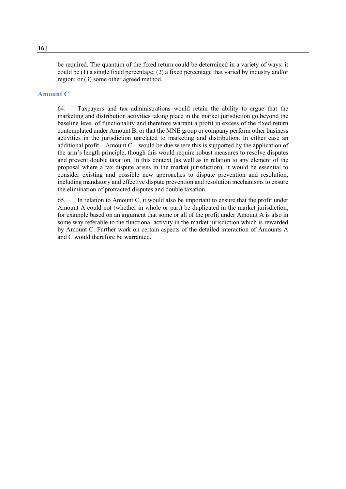be required. The quantum of the fixed return could be determined in a variety of ways: it could be (1) a single fixed percentage; (2) a fixed percentage that varied by industry and/or region; or (3) some other agreed method.

### **Amount C**

64. Taxpayers and tax administrations would retain the ability to argue that the marketing and distribution activities taking place in the market jurisdiction go beyond the baseline level of functionality and therefore warrant a profit in excess of the fixed return contemplated under Amount B, or that the MNE group or company perform other business activities in the jurisdiction unrelated to marketing and distribution. In either case an additional profit – Amount  $C$  – would be due where this is supported by the application of the arm's length principle, though this would require robust measures to resolve disputes and prevent double taxation. In this context (as well as in relation to any element of the proposal where a tax dispute arises in the market jurisdiction), it would be essential to consider existing and possible new approaches to dispute prevention and resolution, including mandatory and effective dispute prevention and resolution mechanisms to ensure the elimination of protracted disputes and double taxation.

65. In relation to Amount C, it would also be important to ensure that the profit under Amount A could not (whether in whole or part) be duplicated in the market jurisdiction, for example based on an argument that some or all of the profit under Amount A is also in some way referable to the functional activity in the market jurisdiction which is rewarded by Amount C. Further work on certain aspects of the detailed interaction of Amounts A and C would therefore be warranted.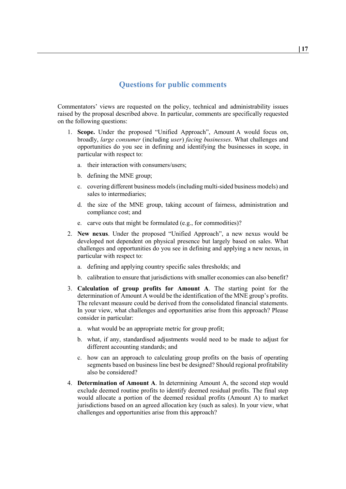# **Questions for public comments**

<span id="page-19-0"></span>Commentators' views are requested on the policy, technical and administrability issues raised by the proposal described above. In particular, comments are specifically requested on the following questions:

- 1. **Scope.** Under the proposed "Unified Approach", Amount A would focus on, broadly, *large consumer* (including *user*) *facing businesses*. What challenges and opportunities do you see in defining and identifying the businesses in scope, in particular with respect to:
	- a. their interaction with consumers/users;
	- b. defining the MNE group;
	- c. covering different business models (including multi-sided business models) and sales to intermediaries;
	- d. the size of the MNE group, taking account of fairness, administration and compliance cost; and
	- carve outs that might be formulated (e.g., for commodities)?
- 2. **New nexus**. Under the proposed "Unified Approach", a new nexus would be developed not dependent on physical presence but largely based on sales. What challenges and opportunities do you see in defining and applying a new nexus, in particular with respect to:
	- a. defining and applying country specific sales thresholds; and
	- b. calibration to ensure that jurisdictions with smaller economies can also benefit?
- 3. **Calculation of group profits for Amount A**. The starting point for the determination of Amount A would be the identification of the MNE group's profits. The relevant measure could be derived from the consolidated financial statements. In your view, what challenges and opportunities arise from this approach? Please consider in particular:
	- a. what would be an appropriate metric for group profit;
	- b. what, if any, standardised adjustments would need to be made to adjust for different accounting standards; and
	- c. how can an approach to calculating group profits on the basis of operating segments based on business line best be designed? Should regional profitability also be considered?
- 4. **Determination of Amount A**. In determining Amount A, the second step would exclude deemed routine profits to identify deemed residual profits. The final step would allocate a portion of the deemed residual profits (Amount A) to market jurisdictions based on an agreed allocation key (such as sales). In your view, what challenges and opportunities arise from this approach?